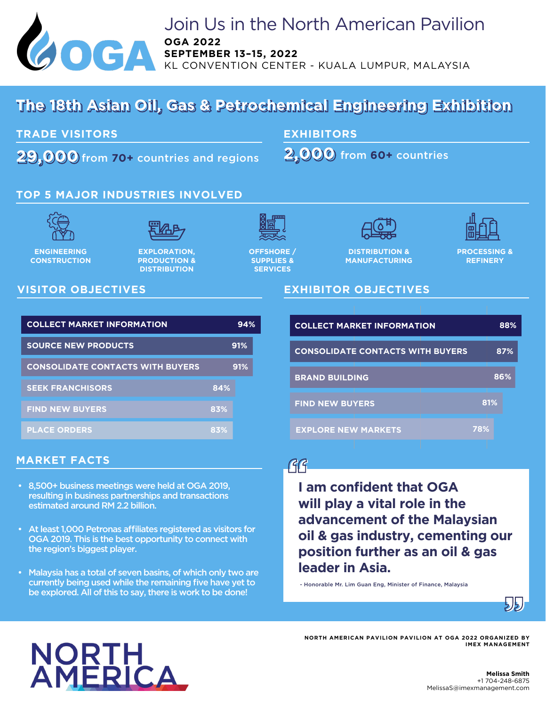

## Join Us in the North American Pavilion **OGA 2022 SEPTEMBER 13–15, 2022**

CONVENTION CENTER - KUALA LUMPUR, MALAYSIA

## **The 18th Asian Oil, Gas & Petrochemical Engineering Exhibition The 18th Asian Oil, Gas & Petrochemical Engineering Exhibition**

**TRADE VISITORS** 

**29,000 2,000** from **60+** countries **29,000** from **70+** countries and regions

**EXHIBITORS**

**2,000** from 60+ countries

## **TOP 5 MAJOR INDUSTRIES INVOLVED**





**ENGINEERING CONSTRUCTION**

**EXPLORATION, PRODUCTION & DISTRIBUTION** 



**OFFSHORE / SUPPLIES & SERVICES**



**DISTRIBUTION & MANUFACTURING**

**EXHIBITOR OBJECTIVES**

**PROCESSING & REFINERY**

## **VISITOR OBJECTIVES**

| <b>COLLECT MARKET INFORMATION</b>       |     | 94% | <b>COLLECT MARKET INFORMATION</b>       |     | 88% |
|-----------------------------------------|-----|-----|-----------------------------------------|-----|-----|
| <b>SOURCE NEW PRODUCTS</b>              |     | 91% | <b>CONSOLIDATE CONTACTS WITH BUYERS</b> |     | 87% |
| <b>CONSOLIDATE CONTACTS WITH BUYERS</b> |     | 91% | <b>BRAND BUILDING</b>                   |     | 86% |
| <b>SEEK FRANCHISORS</b>                 | 84% |     |                                         |     |     |
| <b>FIND NEW BUYERS</b>                  | 83% |     | <b>FIND NEW BUYERS</b>                  | 81% |     |
| <b>PLACE ORDERS</b>                     | 83% |     | <b>EXPLORE NEW MARKETS</b>              | 78% |     |

### **MARKET FACTS**

- 8,500+ business meetings were held at OGA 2019, resulting in business partnerships and transactions estimated around RM 2.2 billion.
- At least 1,000 Petronas affiliates registered as visitors for OGA 2019. This is the best opportunity to connect with the region's biggest player.
- Malaysia has a total of seven basins, of which only two are currently being used while the remaining five have yet to be explored. All of this to say, there is work to be done!

# $\mathcal{G}$

**I am confident that OGA will play a vital role in the advancement of the Malaysian oil & gas industry, cementing our position further as an oil & gas leader in Asia.** 

- Honorable Mr. Lim Guan Eng, Minister of Finance, Malaysia





### **NORTH AMERICAN PAVILION PAVILION AT OGA 2022 ORGANIZED BY IMEX MANAGEMENT**

#### **Melissa Smith** +1 704-248-6875 MelissaS@imexmanagement.com